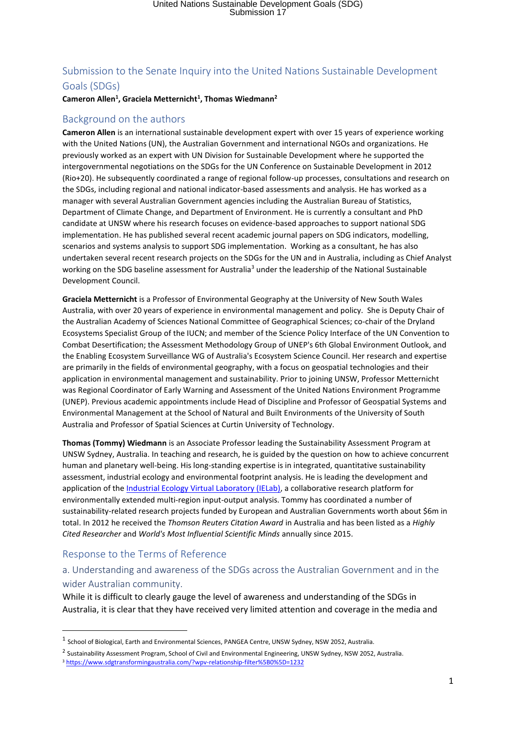### Submission to the Senate Inquiry into the United Nations Sustainable Development Goals (SDGs)

#### **Cameron Allen<sup>1</sup> , Graciela Metternicht<sup>1</sup> , Thomas Wiedmann<sup>2</sup>**

#### Background on the authors

**Cameron Allen** is an international sustainable development expert with over 15 years of experience working with the United Nations (UN), the Australian Government and international NGOs and organizations. He previously worked as an expert with UN Division for Sustainable Development where he supported the intergovernmental negotiations on the SDGs for the UN Conference on Sustainable Development in 2012 (Rio+20). He subsequently coordinated a range of regional follow-up processes, consultations and research on the SDGs, including regional and national indicator-based assessments and analysis. He has worked as a manager with several Australian Government agencies including the Australian Bureau of Statistics, Department of Climate Change, and Department of Environment. He is currently a consultant and PhD candidate at UNSW where his research focuses on evidence-based approaches to support national SDG implementation. He has published several recent academic journal papers on SDG indicators, modelling, scenarios and systems analysis to support SDG implementation. Working as a consultant, he has also undertaken several recent research projects on the SDGs for the UN and in Australia, including as Chief Analyst working on the SDG baseline assessment for Australia<sup>3</sup> under the leadership of the National Sustainable Development Council.

**Graciela Metternicht** is a Professor of Environmental Geography at the University of New South Wales Australia, with over 20 years of experience in environmental management and policy. She is Deputy Chair of the Australian Academy of Sciences National Committee of Geographical Sciences; co-chair of the Dryland Ecosystems Specialist Group of the IUCN; and member of the Science Policy Interface of the UN Convention to Combat Desertification; the Assessment Methodology Group of UNEP's 6th Global Environment Outlook, and the Enabling Ecosystem Surveillance WG of Australia's Ecosystem Science Council. Her research and expertise are primarily in the fields of environmental geography, with a focus on geospatial technologies and their application in environmental management and sustainability. Prior to joining UNSW, Professor Metternicht was Regional Coordinator of Early Warning and Assessment of the United Nations Environment Programme (UNEP). Previous academic appointments include Head of Discipline and Professor of Geospatial Systems and Environmental Management at the School of Natural and Built Environments of the University of South Australia and Professor of Spatial Sciences at Curtin University of Technology.

**Thomas (Tommy) Wiedmann** is an Associate Professor leading the Sustainability Assessment Program at UNSW Sydney, Australia. In teaching and research, he is guided by the question on how to achieve concurrent human and planetary well-being. His long-standing expertise is in integrated, quantitative sustainability assessment, industrial ecology and environmental footprint analysis. He is leading the development and application of the *Industrial Ecology Virtual Laboratory (IELab)*, a collaborative research platform for environmentally extended multi-region input-output analysis. Tommy has coordinated a number of sustainability-related research projects funded by European and Australian Governments worth about \$6m in total. In 2012 he received the *Thomson Reuters Citation Award* in Australia and has been listed as a *Highly Cited Researcher* and *World's Most Influential Scientific Minds* annually since 2015.

#### Response to the Terms of Reference

**.** 

#### a. Understanding and awareness of the SDGs across the Australian Government and in the wider Australian community.

While it is difficult to clearly gauge the level of awareness and understanding of the SDGs in Australia, it is clear that they have received very limited attention and coverage in the media and

 $^1$  School of Biological, Earth and Environmental Sciences, PANGEA Centre, UNSW Sydney, NSW 2052, Australia.

<sup>&</sup>lt;sup>2</sup> Sustainability Assessment Program, School of Civil and Environmental Engineering, UNSW Sydney, NSW 2052, Australia.

<sup>3</sup> <https://www.sdgtransformingaustralia.com/?wpv-relationship-filter%5B0%5D=1232>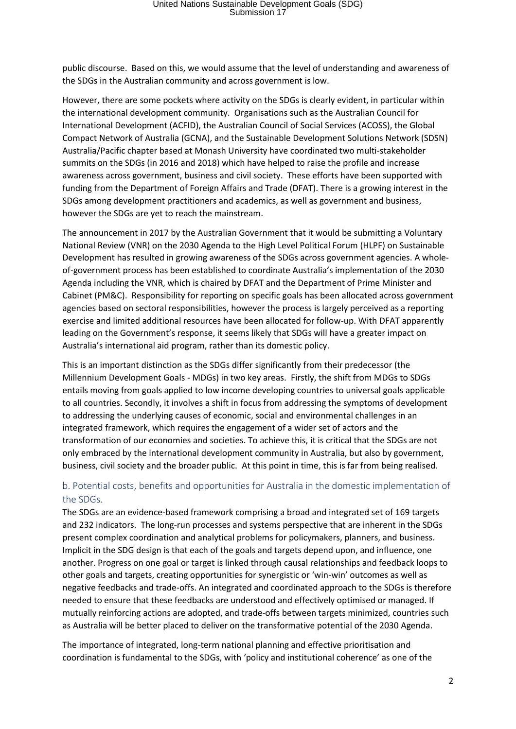public discourse. Based on this, we would assume that the level of understanding and awareness of the SDGs in the Australian community and across government is low.

However, there are some pockets where activity on the SDGs is clearly evident, in particular within the international development community. Organisations such as the Australian Council for International Development (ACFID), the Australian Council of Social Services (ACOSS), the Global Compact Network of Australia (GCNA), and the Sustainable Development Solutions Network (SDSN) Australia/Pacific chapter based at Monash University have coordinated two multi-stakeholder summits on the SDGs (in 2016 and 2018) which have helped to raise the profile and increase awareness across government, business and civil society. These efforts have been supported with funding from the Department of Foreign Affairs and Trade (DFAT). There is a growing interest in the SDGs among development practitioners and academics, as well as government and business, however the SDGs are yet to reach the mainstream.

The announcement in 2017 by the Australian Government that it would be submitting a Voluntary National Review (VNR) on the 2030 Agenda to the High Level Political Forum (HLPF) on Sustainable Development has resulted in growing awareness of the SDGs across government agencies. A wholeof-government process has been established to coordinate Australia's implementation of the 2030 Agenda including the VNR, which is chaired by DFAT and the Department of Prime Minister and Cabinet (PM&C). Responsibility for reporting on specific goals has been allocated across government agencies based on sectoral responsibilities, however the process is largely perceived as a reporting exercise and limited additional resources have been allocated for follow-up. With DFAT apparently leading on the Government's response, it seems likely that SDGs will have a greater impact on Australia's international aid program, rather than its domestic policy.

This is an important distinction as the SDGs differ significantly from their predecessor (the Millennium Development Goals - MDGs) in two key areas. Firstly, the shift from MDGs to SDGs entails moving from goals applied to low income developing countries to universal goals applicable to all countries. Secondly, it involves a shift in focus from addressing the symptoms of development to addressing the underlying causes of economic, social and environmental challenges in an integrated framework, which requires the engagement of a wider set of actors and the transformation of our economies and societies. To achieve this, it is critical that the SDGs are not only embraced by the international development community in Australia, but also by government, business, civil society and the broader public. At this point in time, this is far from being realised.

#### b. Potential costs, benefits and opportunities for Australia in the domestic implementation of the SDGs.

The SDGs are an evidence-based framework comprising a broad and integrated set of 169 targets and 232 indicators. The long-run processes and systems perspective that are inherent in the SDGs present complex coordination and analytical problems for policymakers, planners, and business. Implicit in the SDG design is that each of the goals and targets depend upon, and influence, one another. Progress on one goal or target is linked through causal relationships and feedback loops to other goals and targets, creating opportunities for synergistic or 'win-win' outcomes as well as negative feedbacks and trade-offs. An integrated and coordinated approach to the SDGs is therefore needed to ensure that these feedbacks are understood and effectively optimised or managed. If mutually reinforcing actions are adopted, and trade-offs between targets minimized, countries such as Australia will be better placed to deliver on the transformative potential of the 2030 Agenda.

The importance of integrated, long-term national planning and effective prioritisation and coordination is fundamental to the SDGs, with 'policy and institutional coherence' as one of the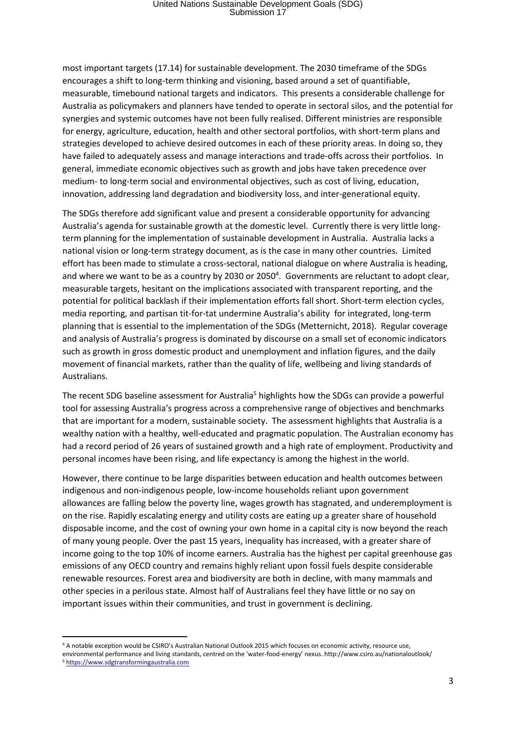most important targets (17.14) for sustainable development. The 2030 timeframe of the SDGs encourages a shift to long-term thinking and visioning, based around a set of quantifiable, measurable, timebound national targets and indicators. This presents a considerable challenge for Australia as policymakers and planners have tended to operate in sectoral silos, and the potential for synergies and systemic outcomes have not been fully realised. Different ministries are responsible for energy, agriculture, education, health and other sectoral portfolios, with short-term plans and strategies developed to achieve desired outcomes in each of these priority areas. In doing so, they have failed to adequately assess and manage interactions and trade-offs across their portfolios. In general, immediate economic objectives such as growth and jobs have taken precedence over medium- to long-term social and environmental objectives, such as cost of living, education, innovation, addressing land degradation and biodiversity loss, and inter-generational equity.

The SDGs therefore add significant value and present a considerable opportunity for advancing Australia's agenda for sustainable growth at the domestic level. Currently there is very little longterm planning for the implementation of sustainable development in Australia. Australia lacks a national vision or long-term strategy document, as is the case in many other countries. Limited effort has been made to stimulate a cross-sectoral, national dialogue on where Australia is heading, and where we want to be as a country by 2030 or 2050<sup>4</sup>. Governments are reluctant to adopt clear, measurable targets, hesitant on the implications associated with transparent reporting, and the potential for political backlash if their implementation efforts fall short. Short-term election cycles, media reporting, and partisan tit-for-tat undermine Australia's ability for integrated, long-term planning that is essential to the implementation of the SDGs (Metternicht, 2018). Regular coverage and analysis of Australia's progress is dominated by discourse on a small set of economic indicators such as growth in gross domestic product and unemployment and inflation figures, and the daily movement of financial markets, rather than the quality of life, wellbeing and living standards of Australians.

The recent SDG baseline assessment for Australia<sup>5</sup> highlights how the SDGs can provide a powerful tool for assessing Australia's progress across a comprehensive range of objectives and benchmarks that are important for a modern, sustainable society. The assessment highlights that Australia is a wealthy nation with a healthy, well-educated and pragmatic population. The Australian economy has had a record period of 26 years of sustained growth and a high rate of employment. Productivity and personal incomes have been rising, and life expectancy is among the highest in the world.

However, there continue to be large disparities between education and health outcomes between indigenous and non-indigenous people, low-income households reliant upon government allowances are falling below the poverty line, wages growth has stagnated, and underemployment is on the rise. Rapidly escalating energy and utility costs are eating up a greater share of household disposable income, and the cost of owning your own home in a capital city is now beyond the reach of many young people. Over the past 15 years, inequality has increased, with a greater share of income going to the top 10% of income earners. Australia has the highest per capital greenhouse gas emissions of any OECD country and remains highly reliant upon fossil fuels despite considerable renewable resources. Forest area and biodiversity are both in decline, with many mammals and other species in a perilous state. Almost half of Australians feel they have little or no say on important issues within their communities, and trust in government is declining.

**.** 

<sup>4</sup> A notable exception would be CSIRO's Australian National Outlook 2015 which focuses on economic activity, resource use, environmental performance and living standards, centred on the 'water-food-energy' nexus. http://www.csiro.au/nationaloutlook/ <sup>5</sup> [https://www.sdgtransformingaustralia.com](https://www.sdgtransformingaustralia.com/)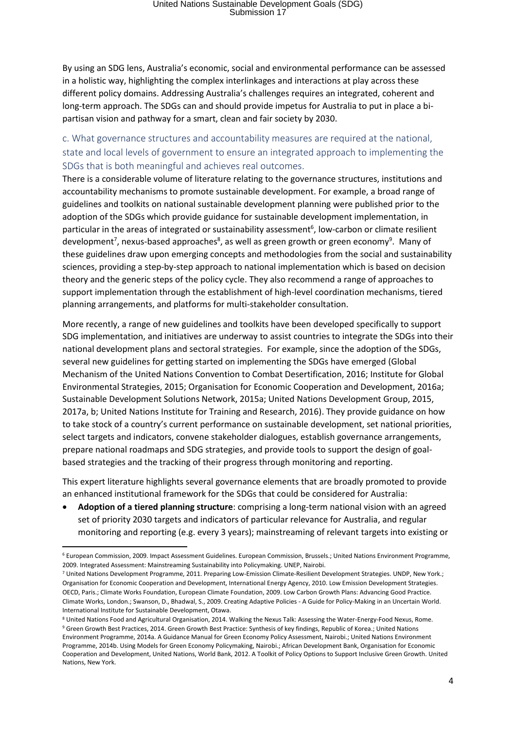By using an SDG lens, Australia's economic, social and environmental performance can be assessed in a holistic way, highlighting the complex interlinkages and interactions at play across these different policy domains. Addressing Australia's challenges requires an integrated, coherent and long-term approach. The SDGs can and should provide impetus for Australia to put in place a bipartisan vision and pathway for a smart, clean and fair society by 2030.

### c. What governance structures and accountability measures are required at the national, state and local levels of government to ensure an integrated approach to implementing the SDGs that is both meaningful and achieves real outcomes.

There is a considerable volume of literature relating to the governance structures, institutions and accountability mechanisms to promote sustainable development. For example, a broad range of guidelines and toolkits on national sustainable development planning were published prior to the adoption of the SDGs which provide guidance for sustainable development implementation, in particular in the areas of integrated or sustainability assessment<sup>6</sup>, low-carbon or climate resilient development<sup>7</sup>, nexus-based approaches<sup>8</sup>, as well as green growth or green economy<sup>9</sup>. Many of these guidelines draw upon emerging concepts and methodologies from the social and sustainability sciences, providing a step-by-step approach to national implementation which is based on decision theory and the generic steps of the policy cycle. They also recommend a range of approaches to support implementation through the establishment of high-level coordination mechanisms, tiered planning arrangements, and platforms for multi-stakeholder consultation.

More recently, a range of new guidelines and toolkits have been developed specifically to support SDG implementation, and initiatives are underway to assist countries to integrate the SDGs into their national development plans and sectoral strategies. For example, since the adoption of the SDGs, several new guidelines for getting started on implementing the SDGs have emerged (Global Mechanism of the United Nations Convention to Combat Desertification, 2016; Institute for Global Environmental Strategies, 2015; Organisation for Economic Cooperation and Development, 2016a; Sustainable Development Solutions Network, 2015a; United Nations Development Group, 2015, 2017a, b; United Nations Institute for Training and Research, 2016). They provide guidance on how to take stock of a country's current performance on sustainable development, set national priorities, select targets and indicators, convene stakeholder dialogues, establish governance arrangements, prepare national roadmaps and SDG strategies, and provide tools to support the design of goalbased strategies and the tracking of their progress through monitoring and reporting.

This expert literature highlights several governance elements that are broadly promoted to provide an enhanced institutional framework for the SDGs that could be considered for Australia:

• **Adoption of a tiered planning structure**: comprising a long-term national vision with an agreed set of priority 2030 targets and indicators of particular relevance for Australia, and regular monitoring and reporting (e.g. every 3 years); mainstreaming of relevant targets into existing or

1

<sup>6</sup> European Commission, 2009. Impact Assessment Guidelines. European Commission, Brussels.; United Nations Environment Programme, 2009. Integrated Assessment: Mainstreaming Sustainability into Policymaking. UNEP, Nairobi.

<sup>7</sup> United Nations Development Programme, 2011. Preparing Low-Emission Climate-Resilient Development Strategies. UNDP, New York.; Organisation for Economic Cooperation and Development, International Energy Agency, 2010. Low Emission Development Strategies. OECD, Paris.; Climate Works Foundation, European Climate Foundation, 2009. Low Carbon Growth Plans: Advancing Good Practice. Climate Works, London.; Swanson, D., Bhadwal, S., 2009. Creating Adaptive Policies - A Guide for Policy-Making in an Uncertain World. International Institute for Sustainable Development, Otawa.

<sup>8</sup> United Nations Food and Agricultural Organisation, 2014. Walking the Nexus Talk: Assessing the Water-Energy-Food Nexus, Rome. <sup>9</sup> Green Growth Best Practices, 2014. Green Growth Best Practice: Synthesis of key findings, Republic of Korea.; United Nations Environment Programme, 2014a. A Guidance Manual for Green Economy Policy Assessment, Nairobi.; United Nations Environment Programme, 2014b. Using Models for Green Economy Policymaking, Nairobi.; African Development Bank, Organisation for Economic Cooperation and Development, United Nations, World Bank, 2012. A Toolkit of Policy Options to Support Inclusive Green Growth. United Nations, New York.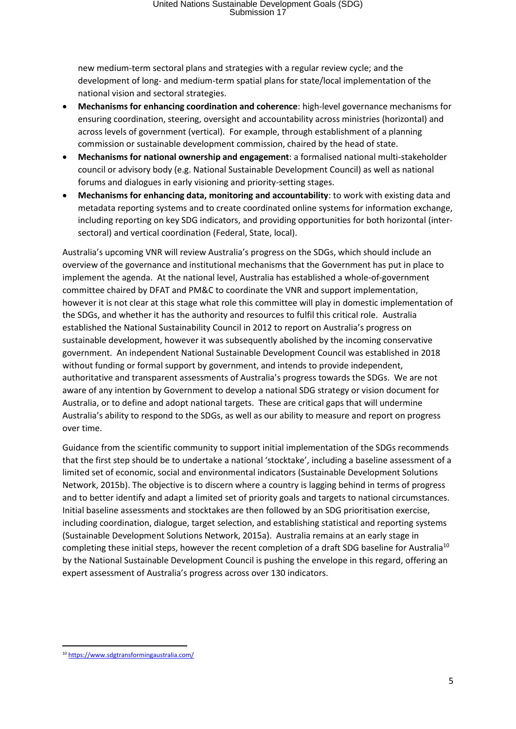new medium-term sectoral plans and strategies with a regular review cycle; and the development of long- and medium-term spatial plans for state/local implementation of the national vision and sectoral strategies.

- **Mechanisms for enhancing coordination and coherence**: high-level governance mechanisms for ensuring coordination, steering, oversight and accountability across ministries (horizontal) and across levels of government (vertical). For example, through establishment of a planning commission or sustainable development commission, chaired by the head of state.
- **Mechanisms for national ownership and engagement**: a formalised national multi-stakeholder council or advisory body (e.g. National Sustainable Development Council) as well as national forums and dialogues in early visioning and priority-setting stages.
- **Mechanisms for enhancing data, monitoring and accountability**: to work with existing data and metadata reporting systems and to create coordinated online systems for information exchange, including reporting on key SDG indicators, and providing opportunities for both horizontal (intersectoral) and vertical coordination (Federal, State, local).

Australia's upcoming VNR will review Australia's progress on the SDGs, which should include an overview of the governance and institutional mechanisms that the Government has put in place to implement the agenda. At the national level, Australia has established a whole-of-government committee chaired by DFAT and PM&C to coordinate the VNR and support implementation, however it is not clear at this stage what role this committee will play in domestic implementation of the SDGs, and whether it has the authority and resources to fulfil this critical role. Australia established the National Sustainability Council in 2012 to report on Australia's progress on sustainable development, however it was subsequently abolished by the incoming conservative government. An independent National Sustainable Development Council was established in 2018 without funding or formal support by government, and intends to provide independent, authoritative and transparent assessments of Australia's progress towards the SDGs. We are not aware of any intention by Government to develop a national SDG strategy or vision document for Australia, or to define and adopt national targets. These are critical gaps that will undermine Australia's ability to respond to the SDGs, as well as our ability to measure and report on progress over time.

Guidance from the scientific community to support initial implementation of the SDGs recommends that the first step should be to undertake a national 'stocktake', including a baseline assessment of a limited set of economic, social and environmental indicators (Sustainable Development Solutions Network, 2015b). The objective is to discern where a country is lagging behind in terms of progress and to better identify and adapt a limited set of priority goals and targets to national circumstances. Initial baseline assessments and stocktakes are then followed by an SDG prioritisation exercise, including coordination, dialogue, target selection, and establishing statistical and reporting systems (Sustainable Development Solutions Network, 2015a). Australia remains at an early stage in completing these initial steps, however the recent completion of a draft SDG baseline for Australia<sup>10</sup> by the National Sustainable Development Council is pushing the envelope in this regard, offering an expert assessment of Australia's progress across over 130 indicators.

**<sup>.</sup>** <sup>10</sup> <https://www.sdgtransformingaustralia.com/>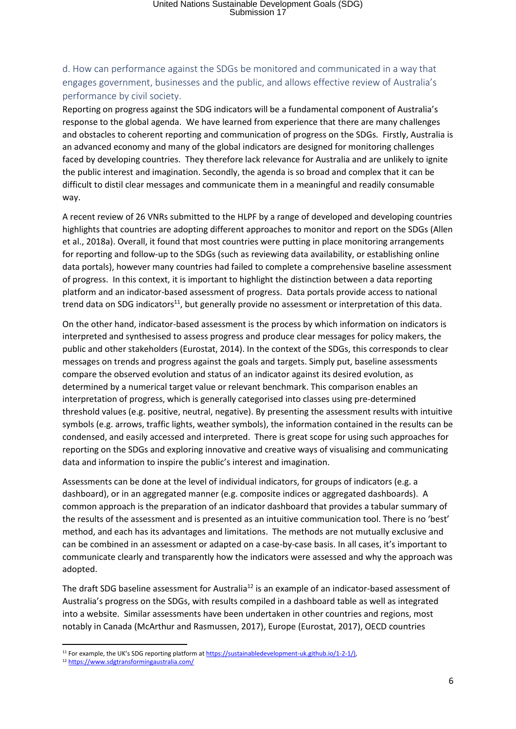### d. How can performance against the SDGs be monitored and communicated in a way that engages government, businesses and the public, and allows effective review of Australia's performance by civil society.

Reporting on progress against the SDG indicators will be a fundamental component of Australia's response to the global agenda. We have learned from experience that there are many challenges and obstacles to coherent reporting and communication of progress on the SDGs. Firstly, Australia is an advanced economy and many of the global indicators are designed for monitoring challenges faced by developing countries. They therefore lack relevance for Australia and are unlikely to ignite the public interest and imagination. Secondly, the agenda is so broad and complex that it can be difficult to distil clear messages and communicate them in a meaningful and readily consumable way.

A recent review of 26 VNRs submitted to the HLPF by a range of developed and developing countries highlights that countries are adopting different approaches to monitor and report on the SDGs (Allen et al., 2018a). Overall, it found that most countries were putting in place monitoring arrangements for reporting and follow-up to the SDGs (such as reviewing data availability, or establishing online data portals), however many countries had failed to complete a comprehensive baseline assessment of progress. In this context, it is important to highlight the distinction between a data reporting platform and an indicator-based assessment of progress. Data portals provide access to national trend data on SDG indicators<sup>11</sup>, but generally provide no assessment or interpretation of this data.

On the other hand, indicator-based assessment is the process by which information on indicators is interpreted and synthesised to assess progress and produce clear messages for policy makers, the public and other stakeholders (Eurostat, 2014). In the context of the SDGs, this corresponds to clear messages on trends and progress against the goals and targets. Simply put, baseline assessments compare the observed evolution and status of an indicator against its desired evolution, as determined by a numerical target value or relevant benchmark. This comparison enables an interpretation of progress, which is generally categorised into classes using pre-determined threshold values (e.g. positive, neutral, negative). By presenting the assessment results with intuitive symbols (e.g. arrows, traffic lights, weather symbols), the information contained in the results can be condensed, and easily accessed and interpreted. There is great scope for using such approaches for reporting on the SDGs and exploring innovative and creative ways of visualising and communicating data and information to inspire the public's interest and imagination.

Assessments can be done at the level of individual indicators, for groups of indicators (e.g. a dashboard), or in an aggregated manner (e.g. composite indices or aggregated dashboards). A common approach is the preparation of an indicator dashboard that provides a tabular summary of the results of the assessment and is presented as an intuitive communication tool. There is no 'best' method, and each has its advantages and limitations. The methods are not mutually exclusive and can be combined in an assessment or adapted on a case-by-case basis. In all cases, it's important to communicate clearly and transparently how the indicators were assessed and why the approach was adopted.

The draft SDG baseline assessment for Australia<sup>12</sup> is an example of an indicator-based assessment of Australia's progress on the SDGs, with results compiled in a dashboard table as well as integrated into a website. Similar assessments have been undertaken in other countries and regions, most notably in Canada (McArthur and Rasmussen, 2017), Europe (Eurostat, 2017), OECD countries

**.** 

<sup>&</sup>lt;sup>11</sup> For example, the UK's SDG reporting platform at https://sustainabledevelopment-uk.github.io/1-2-1/),

<sup>12</sup> <https://www.sdgtransformingaustralia.com/>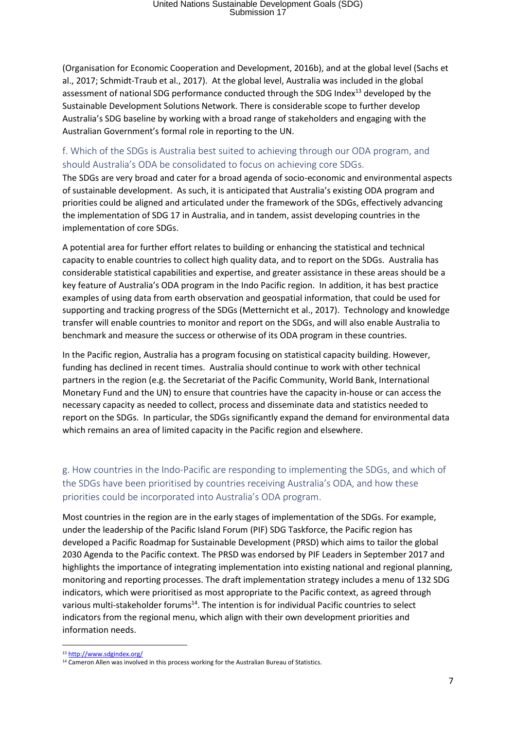(Organisation for Economic Cooperation and Development, 2016b), and at the global level (Sachs et al., 2017; Schmidt-Traub et al., 2017). At the global level, Australia was included in the global assessment of national SDG performance conducted through the SDG Index<sup>13</sup> developed by the Sustainable Development Solutions Network. There is considerable scope to further develop Australia's SDG baseline by working with a broad range of stakeholders and engaging with the Australian Government's formal role in reporting to the UN.

#### f. Which of the SDGs is Australia best suited to achieving through our ODA program, and should Australia's ODA be consolidated to focus on achieving core SDGs.

The SDGs are very broad and cater for a broad agenda of socio-economic and environmental aspects of sustainable development. As such, it is anticipated that Australia's existing ODA program and priorities could be aligned and articulated under the framework of the SDGs, effectively advancing the implementation of SDG 17 in Australia, and in tandem, assist developing countries in the implementation of core SDGs.

A potential area for further effort relates to building or enhancing the statistical and technical capacity to enable countries to collect high quality data, and to report on the SDGs. Australia has considerable statistical capabilities and expertise, and greater assistance in these areas should be a key feature of Australia's ODA program in the Indo Pacific region. In addition, it has best practice examples of using data from earth observation and geospatial information, that could be used for supporting and tracking progress of the SDGs (Metternicht et al., 2017). Technology and knowledge transfer will enable countries to monitor and report on the SDGs, and will also enable Australia to benchmark and measure the success or otherwise of its ODA program in these countries.

In the Pacific region, Australia has a program focusing on statistical capacity building. However, funding has declined in recent times. Australia should continue to work with other technical partners in the region (e.g. the Secretariat of the Pacific Community, World Bank, International Monetary Fund and the UN) to ensure that countries have the capacity in-house or can access the necessary capacity as needed to collect, process and disseminate data and statistics needed to report on the SDGs. In particular, the SDGs significantly expand the demand for environmental data which remains an area of limited capacity in the Pacific region and elsewhere.

### g. How countries in the Indo-Pacific are responding to implementing the SDGs, and which of the SDGs have been prioritised by countries receiving Australia's ODA, and how these priorities could be incorporated into Australia's ODA program.

Most countries in the region are in the early stages of implementation of the SDGs. For example, under the leadership of the Pacific Island Forum (PIF) SDG Taskforce, the Pacific region has developed a Pacific Roadmap for Sustainable Development (PRSD) which aims to tailor the global 2030 Agenda to the Pacific context. The PRSD was endorsed by PIF Leaders in September 2017 and highlights the importance of integrating implementation into existing national and regional planning, monitoring and reporting processes. The draft implementation strategy includes a menu of 132 SDG indicators, which were prioritised as most appropriate to the Pacific context, as agreed through various multi-stakeholder forums<sup>14</sup>. The intention is for individual Pacific countries to select indicators from the regional menu, which align with their own development priorities and information needs.

 $\overline{a}$ 

<sup>13</sup> <http://www.sdgindex.org/>

<sup>&</sup>lt;sup>14</sup> Cameron Allen was involved in this process working for the Australian Bureau of Statistics.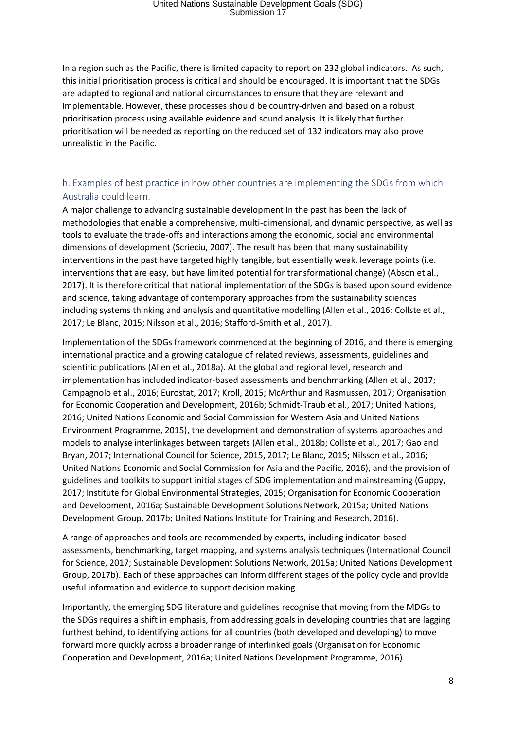In a region such as the Pacific, there is limited capacity to report on 232 global indicators. As such, this initial prioritisation process is critical and should be encouraged. It is important that the SDGs are adapted to regional and national circumstances to ensure that they are relevant and implementable. However, these processes should be country-driven and based on a robust prioritisation process using available evidence and sound analysis. It is likely that further prioritisation will be needed as reporting on the reduced set of 132 indicators may also prove unrealistic in the Pacific.

#### h. Examples of best practice in how other countries are implementing the SDGs from which Australia could learn.

A major challenge to advancing sustainable development in the past has been the lack of methodologies that enable a comprehensive, multi-dimensional, and dynamic perspective, as well as tools to evaluate the trade-offs and interactions among the economic, social and environmental dimensions of development (Scrieciu, 2007). The result has been that many sustainability interventions in the past have targeted highly tangible, but essentially weak, leverage points (i.e. interventions that are easy, but have limited potential for transformational change) (Abson et al., 2017). It is therefore critical that national implementation of the SDGs is based upon sound evidence and science, taking advantage of contemporary approaches from the sustainability sciences including systems thinking and analysis and quantitative modelling (Allen et al., 2016; Collste et al., 2017; Le Blanc, 2015; Nilsson et al., 2016; Stafford-Smith et al., 2017).

Implementation of the SDGs framework commenced at the beginning of 2016, and there is emerging international practice and a growing catalogue of related reviews, assessments, guidelines and scientific publications (Allen et al., 2018a). At the global and regional level, research and implementation has included indicator-based assessments and benchmarking (Allen et al., 2017; Campagnolo et al., 2016; Eurostat, 2017; Kroll, 2015; McArthur and Rasmussen, 2017; Organisation for Economic Cooperation and Development, 2016b; Schmidt-Traub et al., 2017; United Nations, 2016; United Nations Economic and Social Commission for Western Asia and United Nations Environment Programme, 2015), the development and demonstration of systems approaches and models to analyse interlinkages between targets (Allen et al., 2018b; Collste et al., 2017; Gao and Bryan, 2017; International Council for Science, 2015, 2017; Le Blanc, 2015; Nilsson et al., 2016; United Nations Economic and Social Commission for Asia and the Pacific, 2016), and the provision of guidelines and toolkits to support initial stages of SDG implementation and mainstreaming (Guppy, 2017; Institute for Global Environmental Strategies, 2015; Organisation for Economic Cooperation and Development, 2016a; Sustainable Development Solutions Network, 2015a; United Nations Development Group, 2017b; United Nations Institute for Training and Research, 2016).

A range of approaches and tools are recommended by experts, including indicator-based assessments, benchmarking, target mapping, and systems analysis techniques (International Council for Science, 2017; Sustainable Development Solutions Network, 2015a; United Nations Development Group, 2017b). Each of these approaches can inform different stages of the policy cycle and provide useful information and evidence to support decision making.

Importantly, the emerging SDG literature and guidelines recognise that moving from the MDGs to the SDGs requires a shift in emphasis, from addressing goals in developing countries that are lagging furthest behind, to identifying actions for all countries (both developed and developing) to move forward more quickly across a broader range of interlinked goals (Organisation for Economic Cooperation and Development, 2016a; United Nations Development Programme, 2016).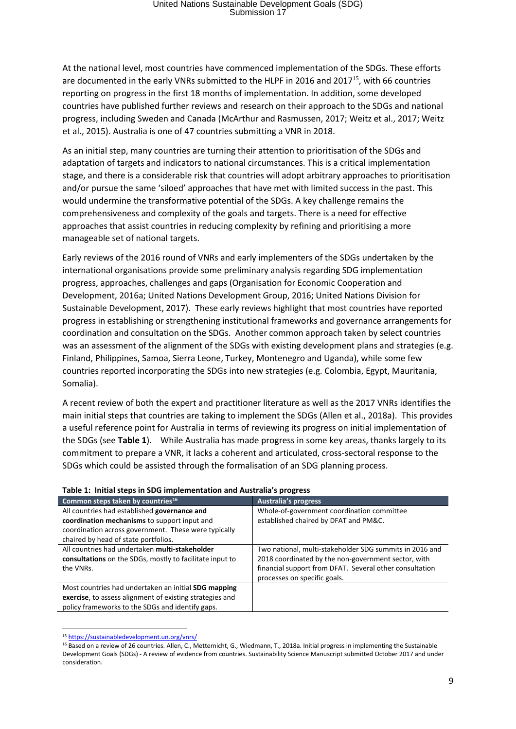At the national level, most countries have commenced implementation of the SDGs. These efforts are documented in the early VNRs submitted to the HLPF in 2016 and 2017<sup>15</sup>, with 66 countries reporting on progress in the first 18 months of implementation. In addition, some developed countries have published further reviews and research on their approach to the SDGs and national progress, including Sweden and Canada (McArthur and Rasmussen, 2017; Weitz et al., 2017; Weitz et al., 2015). Australia is one of 47 countries submitting a VNR in 2018.

As an initial step, many countries are turning their attention to prioritisation of the SDGs and adaptation of targets and indicators to national circumstances. This is a critical implementation stage, and there is a considerable risk that countries will adopt arbitrary approaches to prioritisation and/or pursue the same 'siloed' approaches that have met with limited success in the past. This would undermine the transformative potential of the SDGs. A key challenge remains the comprehensiveness and complexity of the goals and targets. There is a need for effective approaches that assist countries in reducing complexity by refining and prioritising a more manageable set of national targets.

Early reviews of the 2016 round of VNRs and early implementers of the SDGs undertaken by the international organisations provide some preliminary analysis regarding SDG implementation progress, approaches, challenges and gaps (Organisation for Economic Cooperation and Development, 2016a; United Nations Development Group, 2016; United Nations Division for Sustainable Development, 2017). These early reviews highlight that most countries have reported progress in establishing or strengthening institutional frameworks and governance arrangements for coordination and consultation on the SDGs. Another common approach taken by select countries was an assessment of the alignment of the SDGs with existing development plans and strategies (e.g. Finland, Philippines, Samoa, Sierra Leone, Turkey, Montenegro and Uganda), while some few countries reported incorporating the SDGs into new strategies (e.g. Colombia, Egypt, Mauritania, Somalia).

A recent review of both the expert and practitioner literature as well as the 2017 VNRs identifies the main initial steps that countries are taking to implement the SDGs (Allen et al., 2018a). This provides a useful reference point for Australia in terms of reviewing its progress on initial implementation of the SDGs (see **Table 1**). While Australia has made progress in some key areas, thanks largely to its commitment to prepare a VNR, it lacks a coherent and articulated, cross-sectoral response to the SDGs which could be assisted through the formalisation of an SDG planning process.

| ינסיות יב אוויטוריטיוניוויטטוויטוויטטער די טעטוויטן אין דער די טעטוויטן א |  |
|---------------------------------------------------------------------------|--|
| <b>Australia's progress</b>                                               |  |
| Whole-of-government coordination committee                                |  |
| established chaired by DFAT and PM&C.                                     |  |
|                                                                           |  |
|                                                                           |  |
| Two national, multi-stakeholder SDG summits in 2016 and                   |  |
| 2018 coordinated by the non-government sector, with                       |  |
| financial support from DFAT. Several other consultation                   |  |
| processes on specific goals.                                              |  |
|                                                                           |  |
|                                                                           |  |
|                                                                           |  |
|                                                                           |  |

#### **Table 1: Initial steps in SDG implementation and Australia's progress**

<sup>1</sup> <sup>15</sup> <https://sustainabledevelopment.un.org/vnrs/>

<sup>&</sup>lt;sup>16</sup> Based on a review of 26 countries. Allen, C., Metternicht, G., Wiedmann, T., 2018a. Initial progress in implementing the Sustainable Development Goals (SDGs) - A review of evidence from countries. Sustainability Science Manuscript submitted October 2017 and under consideration.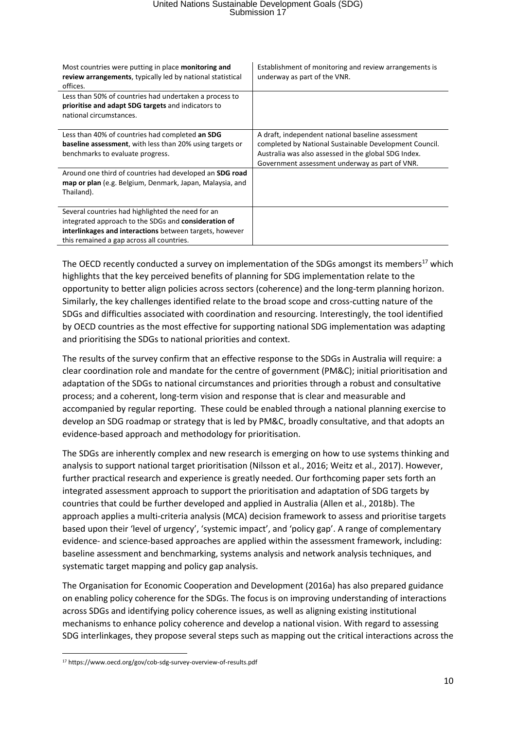| Most countries were putting in place monitoring and<br>review arrangements, typically led by national statistical<br>offices.                                                                                     | Establishment of monitoring and review arrangements is<br>underway as part of the VNR.                                                                                                                                |
|-------------------------------------------------------------------------------------------------------------------------------------------------------------------------------------------------------------------|-----------------------------------------------------------------------------------------------------------------------------------------------------------------------------------------------------------------------|
| Less than 50% of countries had undertaken a process to<br>prioritise and adapt SDG targets and indicators to<br>national circumstances.                                                                           |                                                                                                                                                                                                                       |
| Less than 40% of countries had completed an SDG<br><b>baseline assessment</b> , with less than 20% using targets or<br>benchmarks to evaluate progress.                                                           | A draft, independent national baseline assessment<br>completed by National Sustainable Development Council.<br>Australia was also assessed in the global SDG Index.<br>Government assessment underway as part of VNR. |
| Around one third of countries had developed an SDG road<br>map or plan (e.g. Belgium, Denmark, Japan, Malaysia, and<br>Thailand).                                                                                 |                                                                                                                                                                                                                       |
| Several countries had highlighted the need for an<br>integrated approach to the SDGs and consideration of<br>interlinkages and interactions between targets, however<br>this remained a gap across all countries. |                                                                                                                                                                                                                       |

The OECD recently conducted a survey on implementation of the SDGs amongst its members<sup>17</sup> which highlights that the key perceived benefits of planning for SDG implementation relate to the opportunity to better align policies across sectors (coherence) and the long-term planning horizon. Similarly, the key challenges identified relate to the broad scope and cross-cutting nature of the SDGs and difficulties associated with coordination and resourcing. Interestingly, the tool identified by OECD countries as the most effective for supporting national SDG implementation was adapting and prioritising the SDGs to national priorities and context.

The results of the survey confirm that an effective response to the SDGs in Australia will require: a clear coordination role and mandate for the centre of government (PM&C); initial prioritisation and adaptation of the SDGs to national circumstances and priorities through a robust and consultative process; and a coherent, long-term vision and response that is clear and measurable and accompanied by regular reporting. These could be enabled through a national planning exercise to develop an SDG roadmap or strategy that is led by PM&C, broadly consultative, and that adopts an evidence-based approach and methodology for prioritisation.

The SDGs are inherently complex and new research is emerging on how to use systems thinking and analysis to support national target prioritisation (Nilsson et al., 2016; Weitz et al., 2017). However, further practical research and experience is greatly needed. Our forthcoming paper sets forth an integrated assessment approach to support the prioritisation and adaptation of SDG targets by countries that could be further developed and applied in Australia (Allen et al., 2018b). The approach applies a multi-criteria analysis (MCA) decision framework to assess and prioritise targets based upon their 'level of urgency', 'systemic impact', and 'policy gap'. A range of complementary evidence- and science-based approaches are applied within the assessment framework, including: baseline assessment and benchmarking, systems analysis and network analysis techniques, and systematic target mapping and policy gap analysis.

The Organisation for Economic Cooperation and Development (2016a) has also prepared guidance on enabling policy coherence for the SDGs. The focus is on improving understanding of interactions across SDGs and identifying policy coherence issues, as well as aligning existing institutional mechanisms to enhance policy coherence and develop a national vision. With regard to assessing SDG interlinkages, they propose several steps such as mapping out the critical interactions across the

 $\overline{a}$ 

<sup>17</sup> https://www.oecd.org/gov/cob-sdg-survey-overview-of-results.pdf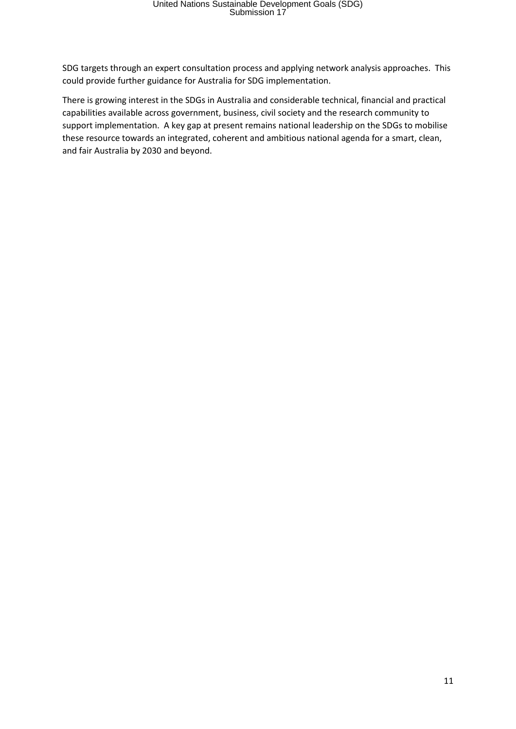SDG targets through an expert consultation process and applying network analysis approaches. This could provide further guidance for Australia for SDG implementation.

There is growing interest in the SDGs in Australia and considerable technical, financial and practical capabilities available across government, business, civil society and the research community to support implementation. A key gap at present remains national leadership on the SDGs to mobilise these resource towards an integrated, coherent and ambitious national agenda for a smart, clean, and fair Australia by 2030 and beyond.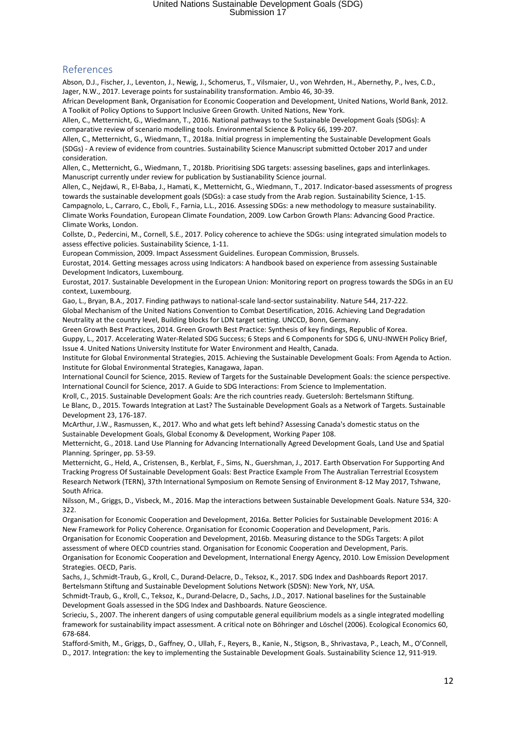#### References

Abson, D.J., Fischer, J., Leventon, J., Newig, J., Schomerus, T., Vilsmaier, U., von Wehrden, H., Abernethy, P., Ives, C.D., Jager, N.W., 2017. Leverage points for sustainability transformation. Ambio 46, 30-39.

African Development Bank, Organisation for Economic Cooperation and Development, United Nations, World Bank, 2012. A Toolkit of Policy Options to Support Inclusive Green Growth. United Nations, New York.

Allen, C., Metternicht, G., Wiedmann, T., 2016. National pathways to the Sustainable Development Goals (SDGs): A comparative review of scenario modelling tools. Environmental Science & Policy 66, 199-207.

Allen, C., Metternicht, G., Wiedmann, T., 2018a. Initial progress in implementing the Sustainable Development Goals (SDGs) - A review of evidence from countries. Sustainability Science Manuscript submitted October 2017 and under consideration.

Allen, C., Metternicht, G., Wiedmann, T., 2018b. Prioritising SDG targets: assessing baselines, gaps and interlinkages. Manuscript currently under review for publication by Sustianability Science journal.

Allen, C., Nejdawi, R., El-Baba, J., Hamati, K., Metternicht, G., Wiedmann, T., 2017. Indicator-based assessments of progress towards the sustainable development goals (SDGs): a case study from the Arab region. Sustainability Science, 1-15. Campagnolo, L., Carraro, C., Eboli, F., Farnia, L.L., 2016. Assessing SDGs: a new methodology to measure sustainability. Climate Works Foundation, European Climate Foundation, 2009. Low Carbon Growth Plans: Advancing Good Practice. Climate Works, London.

Collste, D., Pedercini, M., Cornell, S.E., 2017. Policy coherence to achieve the SDGs: using integrated simulation models to assess effective policies. Sustainability Science, 1-11.

European Commission, 2009. Impact Assessment Guidelines. European Commission, Brussels.

Eurostat, 2014. Getting messages across using Indicators: A handbook based on experience from assessing Sustainable Development Indicators, Luxembourg.

Eurostat, 2017. Sustainable Development in the European Union: Monitoring report on progress towards the SDGs in an EU context, Luxembourg.

Gao, L., Bryan, B.A., 2017. Finding pathways to national-scale land-sector sustainability. Nature 544, 217-222.

Global Mechanism of the United Nations Convention to Combat Desertification, 2016. Achieving Land Degradation Neutrality at the country level, Building blocks for LDN target setting. UNCCD, Bonn, Germany.

Green Growth Best Practices, 2014. Green Growth Best Practice: Synthesis of key findings, Republic of Korea.

Guppy, L., 2017. Accelerating Water-Related SDG Success; 6 Steps and 6 Components for SDG 6, UNU-INWEH Policy Brief, Issue 4. United Nations University Institute for Water Environment and Health, Canada.

Institute for Global Environmental Strategies, 2015. Achieving the Sustainable Development Goals: From Agenda to Action. Institute for Global Environmental Strategies, Kanagawa, Japan.

International Council for Science, 2015. Review of Targets for the Sustainable Development Goals: the science perspective. International Council for Science, 2017. A Guide to SDG Interactions: From Science to Implementation.

Kroll, C., 2015. Sustainable Development Goals: Are the rich countries ready. Guetersloh: Bertelsmann Stiftung.

Le Blanc, D., 2015. Towards Integration at Last? The Sustainable Development Goals as a Network of Targets. Sustainable Development 23, 176-187.

McArthur, J.W., Rasmussen, K., 2017. Who and what gets left behind? Assessing Canada's domestic status on the Sustainable Development Goals, Global Economy & Development, Working Paper 108.

Metternicht, G., 2018. Land Use Planning for Advancing Internationally Agreed Development Goals, Land Use and Spatial Planning. Springer, pp. 53-59.

Metternicht, G., Held, A., Cristensen, B., Kerblat, F., Sims, N., Guershman, J., 2017. Earth Observation For Supporting And Tracking Progress Of Sustainable Development Goals: Best Practice Example From The Australian Terrestrial Ecosystem Research Network (TERN), 37th International Symposium on Remote Sensing of Environment 8-12 May 2017, Tshwane, South Africa.

Nilsson, M., Griggs, D., Visbeck, M., 2016. Map the interactions between Sustainable Development Goals. Nature 534, 320- 322.

Organisation for Economic Cooperation and Development, 2016a. Better Policies for Sustainable Development 2016: A New Framework for Policy Coherence. Organisation for Economic Cooperation and Development, Paris.

Organisation for Economic Cooperation and Development, 2016b. Measuring distance to the SDGs Targets: A pilot assessment of where OECD countries stand. Organisation for Economic Cooperation and Development, Paris.

Organisation for Economic Cooperation and Development, International Energy Agency, 2010. Low Emission Development Strategies. OECD, Paris.

Sachs, J., Schmidt-Traub, G., Kroll, C., Durand-Delacre, D., Teksoz, K., 2017. SDG Index and Dashboards Report 2017. Bertelsmann Stiftung and Sustainable Development Solutions Network (SDSN): New York, NY, USA.

Schmidt-Traub, G., Kroll, C., Teksoz, K., Durand-Delacre, D., Sachs, J.D., 2017. National baselines for the Sustainable Development Goals assessed in the SDG Index and Dashboards. Nature Geoscience.

Scrieciu, S., 2007. The inherent dangers of using computable general equilibrium models as a single integrated modelling framework for sustainability impact assessment. A critical note on Böhringer and Löschel (2006). Ecological Economics 60, 678-684.

Stafford-Smith, M., Griggs, D., Gaffney, O., Ullah, F., Reyers, B., Kanie, N., Stigson, B., Shrivastava, P., Leach, M., O'Connell, D., 2017. Integration: the key to implementing the Sustainable Development Goals. Sustainability Science 12, 911-919.